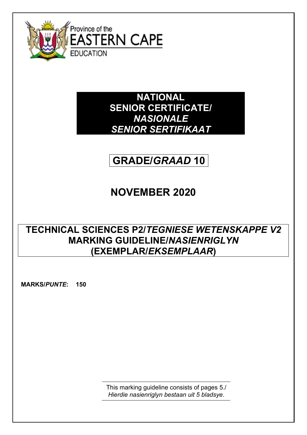

**NATIONAL SENIOR CERTIFICATE/** *NASIONALE SENIOR SERTIFIKAAT*

# **GRADE/***GRAAD* **10**

# **NOVEMBER 2020**

## **TECHNICAL SCIENCES P2/***TEGNIESE WETENSKAPPE V2* **MARKING GUIDELINE/***NASIENRIGLYN* **(EXEMPLAR/***EKSEMPLAAR***)**

**MARKS/***PUNTE***: 150**

This marking guideline consists of pages 5./ *Hierdie nasienriglyn bestaan uit 5 bladsye*.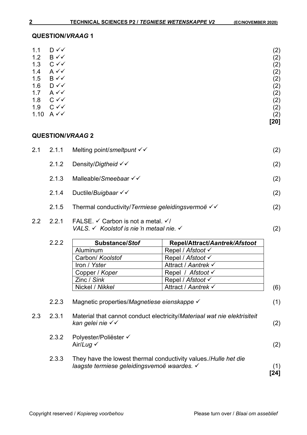#### **QUESTION/***VRAAG* **1**

| 1.1  | $D \checkmark$ | (2)    |
|------|----------------|--------|
| 1.2  | $B \vee \vee$  | (2)    |
| 1.3  | $C \vee C$     | (2)    |
| 1.4  | $A \vee C$     | (2)    |
| 1.5  | $B \vee \vee$  | (2)    |
| 1.6  | $D \checkmark$ | (2)    |
| 1.7  | $A \vee C$     | (2)    |
| 1.8  | $C \vee C$     | (2)    |
| 1.9  | $C \vee C$     | (2)    |
| 1.10 | $A \vee C$     | (2)    |
|      |                | $[20]$ |

#### **QUESTION/***VRAAG* **2**

|     | $2.1$ $2.1.1$                                                                                                                      | Melting point/smeltpunt $\checkmark\checkmark$    |                               | (2) |
|-----|------------------------------------------------------------------------------------------------------------------------------------|---------------------------------------------------|-------------------------------|-----|
|     | 2.1.2                                                                                                                              | Density/Digtheid $\checkmark$                     |                               | (2) |
|     | 2.1.3                                                                                                                              | Malleable/Smeebaar √√                             |                               | (2) |
|     | 2.1.4                                                                                                                              | Ductile/Buigbaar $\checkmark\checkmark$           |                               | (2) |
|     | 2.1.5                                                                                                                              | Thermal conductivity/Termiese geleidingsvermoë √√ |                               | (2) |
| 2.2 | FALSE $\checkmark$ Carbon is not a metal $\checkmark$ /<br>2.2.1<br>VALS, $\checkmark$ Koolstof is nie 'n metaal nie. $\checkmark$ |                                                   |                               | (2) |
|     | 2.2.2                                                                                                                              | <b>Substance/Stof</b>                             | Repel/Attract/Aantrek/Afstoot |     |
|     |                                                                                                                                    | Aluminum                                          | Repel / Afstoot $\checkmark$  |     |
|     |                                                                                                                                    | Carbon/ Koolstof                                  | Repel / Afstoot √             |     |
|     |                                                                                                                                    | Iron / Yster                                      | Attract / Aantrek √           |     |
|     |                                                                                                                                    | Copper / Koper                                    | Repel / Afstoot $\checkmark$  |     |

|     |       | Nickel / Nikkel                                                                                                  | Attract / Aantrek √ | (6)         |
|-----|-------|------------------------------------------------------------------------------------------------------------------|---------------------|-------------|
|     | 2.2.3 | Magnetic properties/Magnetiese eienskappe √                                                                      |                     | (1)         |
| 2.3 | 2.3.1 | Material that cannot conduct electricity/Materiaal wat nie elektrisiteit<br>kan gelei nie $\checkmark\checkmark$ |                     | (2)         |
|     | 2.3.2 | Polyester/Poliëster √<br>Air/Lug $\checkmark$                                                                    |                     | (2)         |
|     | 2.3.3 | They have the lowest thermal conductivity values./Hulle het die<br>laagste termiese geleidingsvemoë waardes. √   |                     | (1)<br>[24] |

*Zinc / Sink* Repel / *Afstoot* ✓<br>Nickel / *Nikkel* Attract / *Aantrek* 、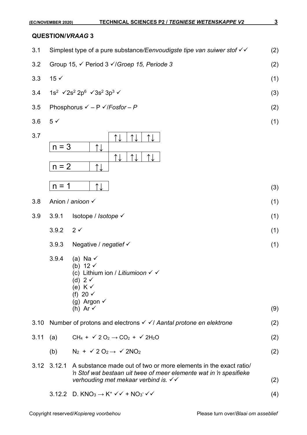### **QUESTION/***VRAAG* **3**

| <b>QUESTION/VRAAG 3</b> |                                                                                  |     |  |  |
|-------------------------|----------------------------------------------------------------------------------|-----|--|--|
| 3.1                     | Simplest type of a pure substance/Eenvoudigste tipe van suiwer stof $\checkmark$ | (2) |  |  |
| 3.2                     | Group 15, V Period 3 V/Groep 15, Periode 3                                       | (2) |  |  |
| 3.3                     | $15 \checkmark$                                                                  | (1) |  |  |
| 3.4                     | $1s^2 \sqrt{2s^2 2p^6 \sqrt{3s^2 3p^3}}$                                         |     |  |  |
| 3.5                     | Phosphorus $\checkmark$ – P $\checkmark$ / Fosfor – P                            | (2) |  |  |
| 3.6                     | $5 \checkmark$                                                                   | (1) |  |  |
| 3.7                     | ↑⊥<br>$n = 3$<br>↑↓<br>↑↓<br>$n = 2$<br>$n = 1$                                  | (3) |  |  |
| 3.8                     | Anion / anioon √                                                                 | (1) |  |  |
|                         |                                                                                  |     |  |  |
| 3.9                     | 3.9.1<br>Isotope / Isotope √                                                     | (1) |  |  |

- $3.9.2 \quad 2 \checkmark$  (1)
- 3.9.3 Negative / *negatief* ✓ (1)
- 3.9.4 (a) Na ✓ (b) 12  $\checkmark$ (c) Lithium ion / *Litiumioon* ✓ ✓ (d)  $2 \checkmark$ (e)  $K \checkmark$ 
	- (f) 20  $\checkmark$ (g) Argon  $\checkmark$

(h) Ar  $\checkmark$  (9)

- 3.10 Number of protons and electrons ✓ ✓/ *Aantal protone en elektrone* (2)
- 3.11 (a)  $CH_4 + \sqrt{2}O_2 \rightarrow CO_2 + \sqrt{2}H_2O$  (2)
	- (b)  $N_2 + \sqrt{2} O_2 \rightarrow \sqrt{2} NO_2$  (2)
- 3.12 3.12.1 A substance made out of two or more elements in the exact ratio/ *'n Stof wat bestaan uit twee of meer elemente wat in 'n spesifieke verhouding met mekaar verbind is.* ✓✓ (2)

$$
3.12.2 \quad D. \quad KNO_3 \rightarrow K^+ \quad \checkmark \quad + \quad NO_3 \cdot \checkmark \quad \checkmark \tag{4}
$$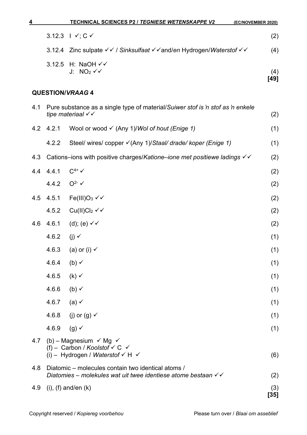| <u>4</u> |                                                                                                                                                               | <b>TECHNICAL SCIENCES P2 / TEGNIESE WETENSKAPPE V2</b>                                                                                  | (EC/NOVEMBER 2020) |
|----------|---------------------------------------------------------------------------------------------------------------------------------------------------------------|-----------------------------------------------------------------------------------------------------------------------------------------|--------------------|
|          |                                                                                                                                                               | 3.12.3 $\sqrt{C}$                                                                                                                       | (2)                |
|          |                                                                                                                                                               | 3.12.4 Zinc sulpate $\checkmark$ / Sinksulfaat $\checkmark$ and/en Hydrogen/Waterstof $\checkmark$                                      | (4)                |
|          |                                                                                                                                                               | 3.12.5 H: NaOH √ ✓                                                                                                                      |                    |
|          |                                                                                                                                                               | J: $NO2 \checkmark$                                                                                                                     | (4)<br>[49]        |
|          |                                                                                                                                                               | <b>QUESTION/VRAAG 4</b>                                                                                                                 |                    |
| 4.1      | Pure substance as a single type of material/Suiwer stof is 'n stof as 'n enkele<br>tipe materiaal $\checkmark\checkmark$                                      |                                                                                                                                         |                    |
|          | 4.2 4.2.1                                                                                                                                                     | Wool or wood $\checkmark$ (Any 1)/Wol of hout (Enige 1)                                                                                 | (1)                |
|          | 4.2.2                                                                                                                                                         | Steel/ wires/ copper √ (Any 1)/Staal/ drade/ koper (Enige 1)                                                                            | (1)                |
| 4.3      |                                                                                                                                                               | Cations–ions with positive charges/Katione–ione met positiewe ladings $\checkmark\checkmark$                                            | (2)                |
|          | 4.4 4.4.1                                                                                                                                                     | $C^{4+}$ $\checkmark$                                                                                                                   | (2)                |
|          | 4.4.2                                                                                                                                                         | $Q^2 \mathcal{A}$                                                                                                                       | (2)                |
|          | 4.5 4.5.1                                                                                                                                                     | Fe(III) $O_3 \checkmark$                                                                                                                | (2)                |
|          | 4.5.2                                                                                                                                                         | $Cu(II)Cl2 \checkmark$                                                                                                                  | (2)                |
|          | 4.6 4.6.1                                                                                                                                                     | (d); (e) $\checkmark$                                                                                                                   | (2)                |
|          | 4.6.2                                                                                                                                                         | $(j) \checkmark$                                                                                                                        | (1)                |
|          | 4.6.3                                                                                                                                                         | (a) or (i) $\checkmark$                                                                                                                 | (1)                |
|          | 4.6.4                                                                                                                                                         | (b) $\checkmark$                                                                                                                        | (1)                |
|          | 4.6.5                                                                                                                                                         | $(k)$ $\checkmark$                                                                                                                      | (1)                |
|          | 4.6.6                                                                                                                                                         | (b) $\checkmark$                                                                                                                        | (1)                |
|          | 4.6.7                                                                                                                                                         | (a) $\checkmark$                                                                                                                        | (1)                |
|          | 4.6.8                                                                                                                                                         | (j) or (g) $\checkmark$                                                                                                                 | (1)                |
|          | 4.6.9                                                                                                                                                         | $(g) \checkmark$                                                                                                                        | (1)                |
| 4.7      | (b) – Magnesium $\checkmark$ Mg $\checkmark$<br>(f) – Carbon / Koolstof $\checkmark$ C $\checkmark$<br>(i) – Hydrogen / Waterstof $\checkmark$ H $\checkmark$ |                                                                                                                                         | (6)                |
| 4.8      |                                                                                                                                                               | Diatomic – molecules contain two identical atoms /<br>Diatomies – molekules wat uit twee identiese atome bestaan $\checkmark\checkmark$ | (2)                |
| 4.9      |                                                                                                                                                               | $(i)$ , $(f)$ and/en $(k)$                                                                                                              | (3)                |
|          |                                                                                                                                                               |                                                                                                                                         | [35]               |